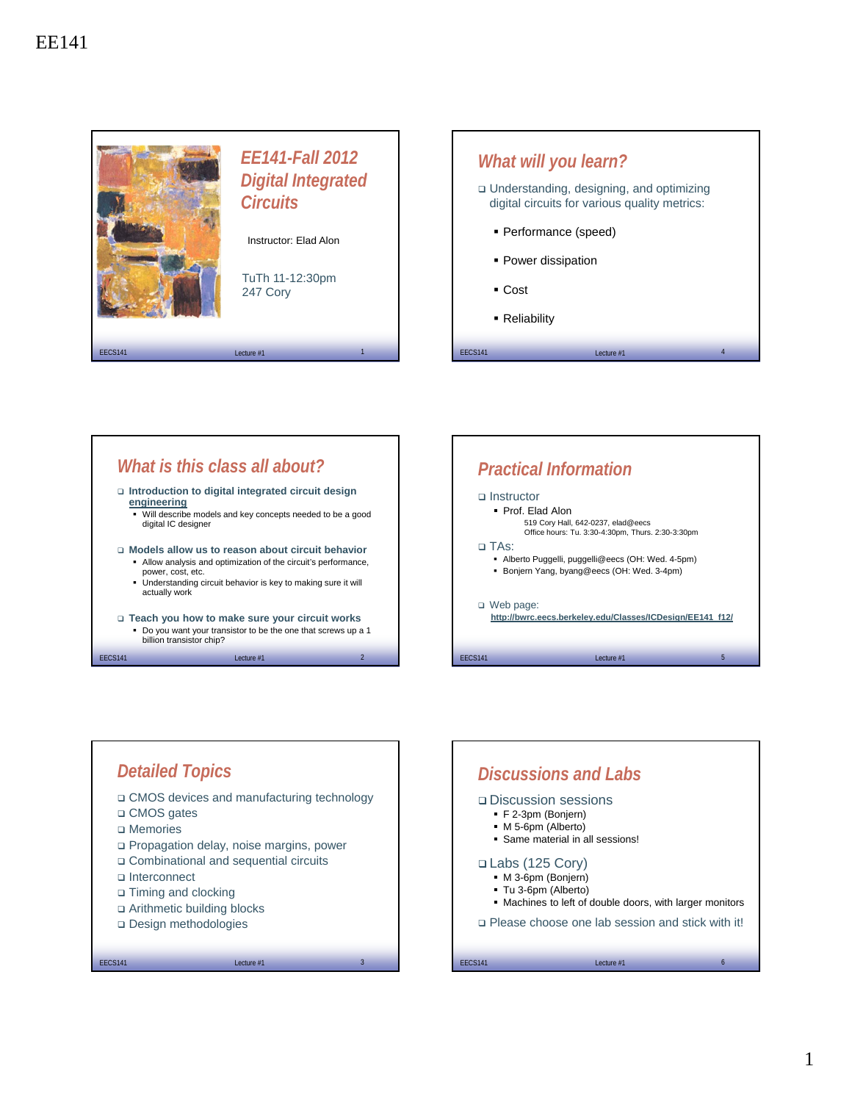









## 1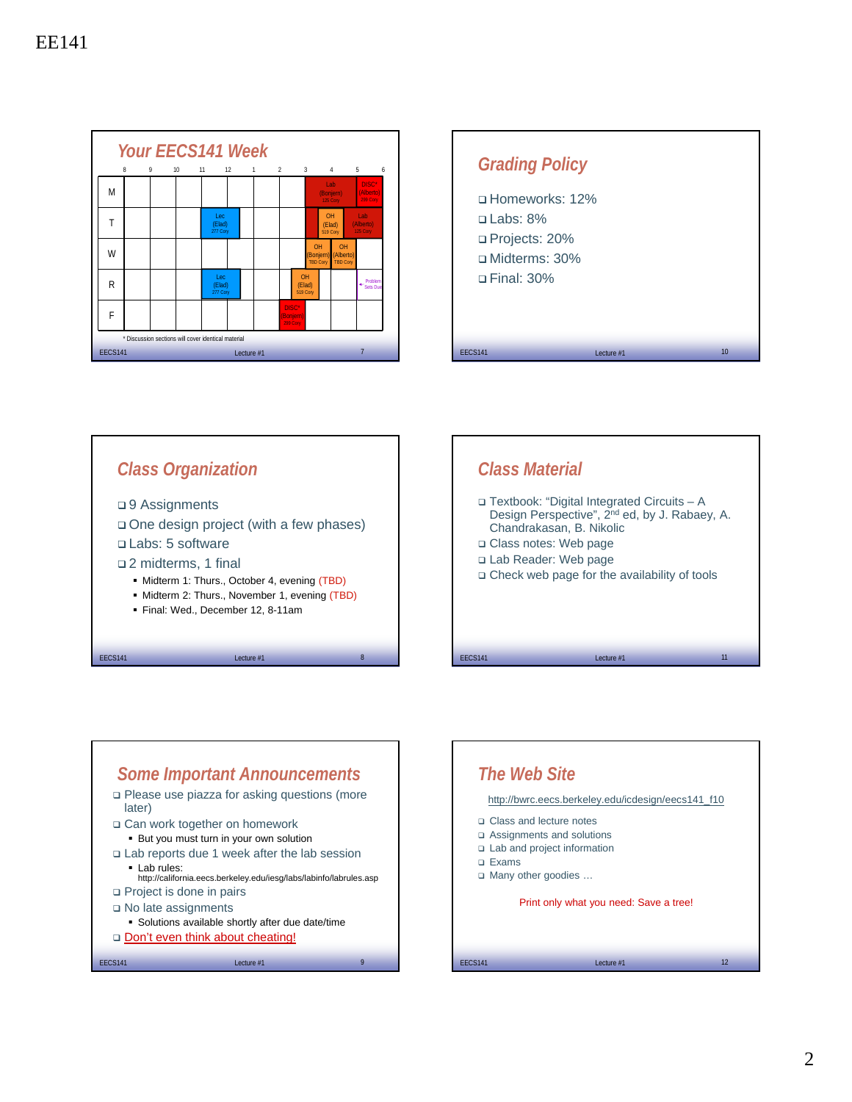









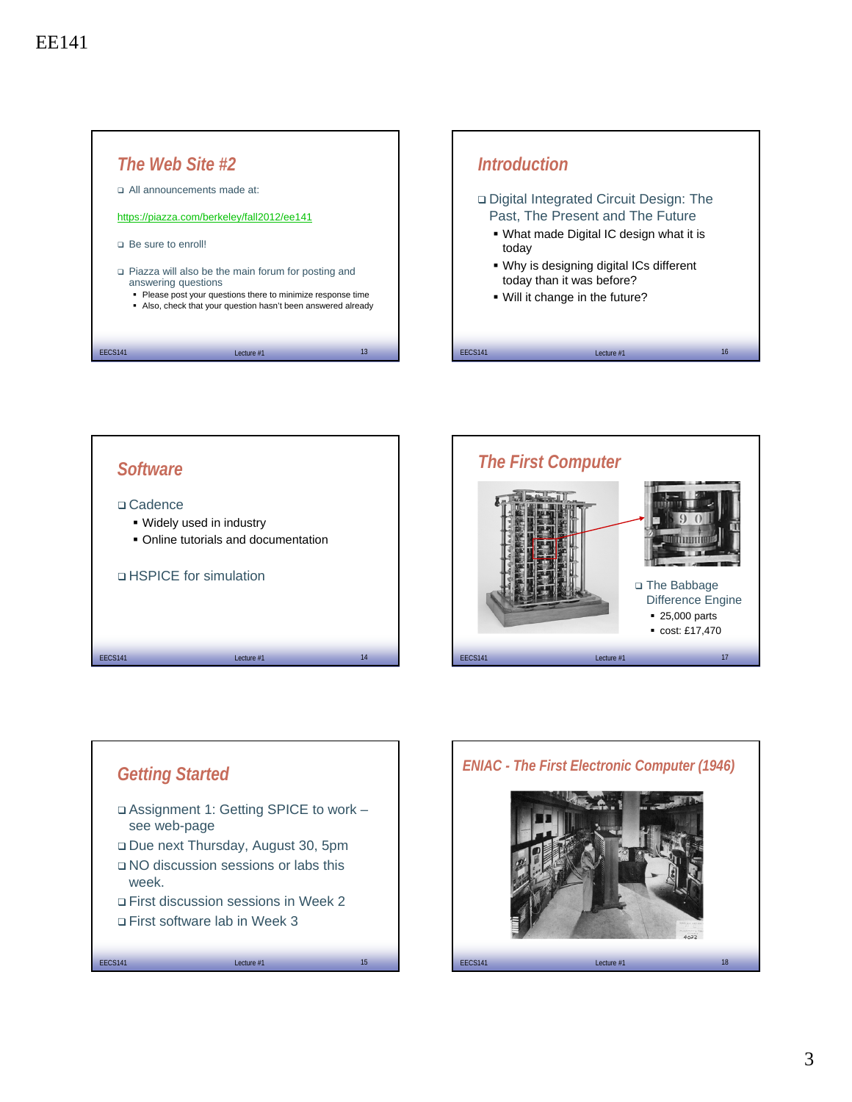





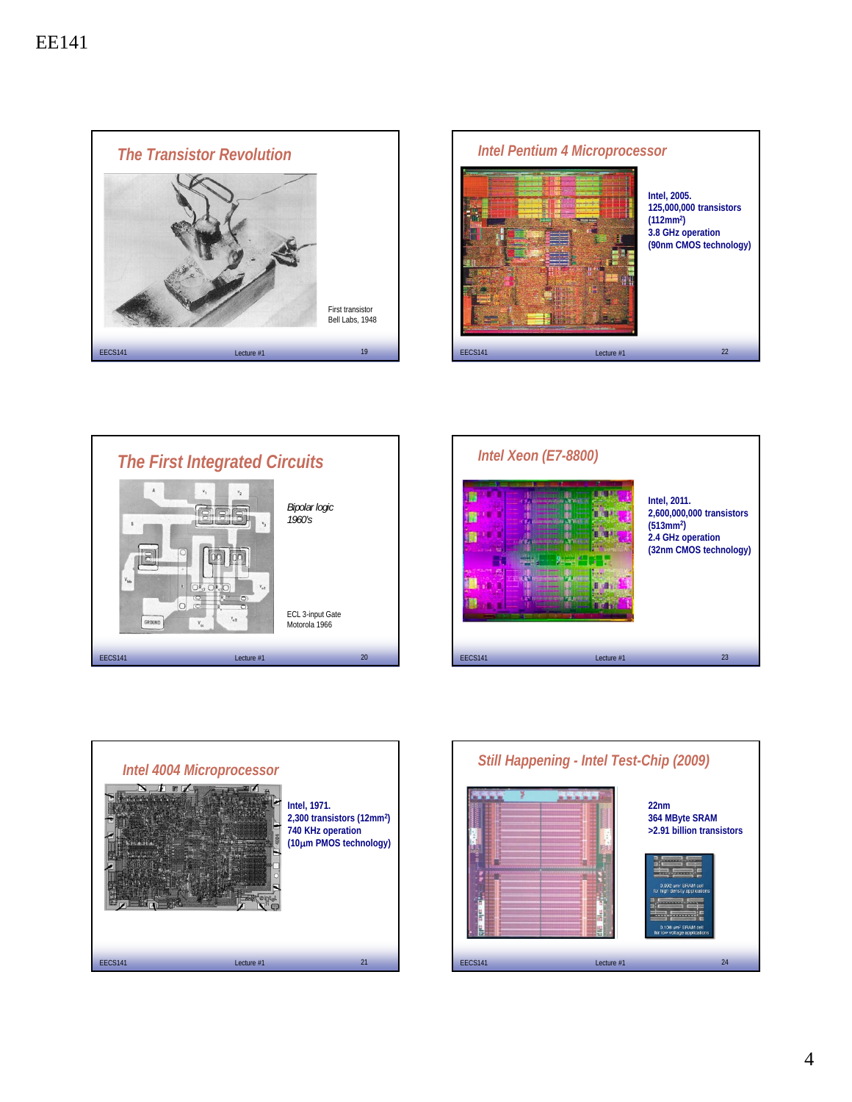









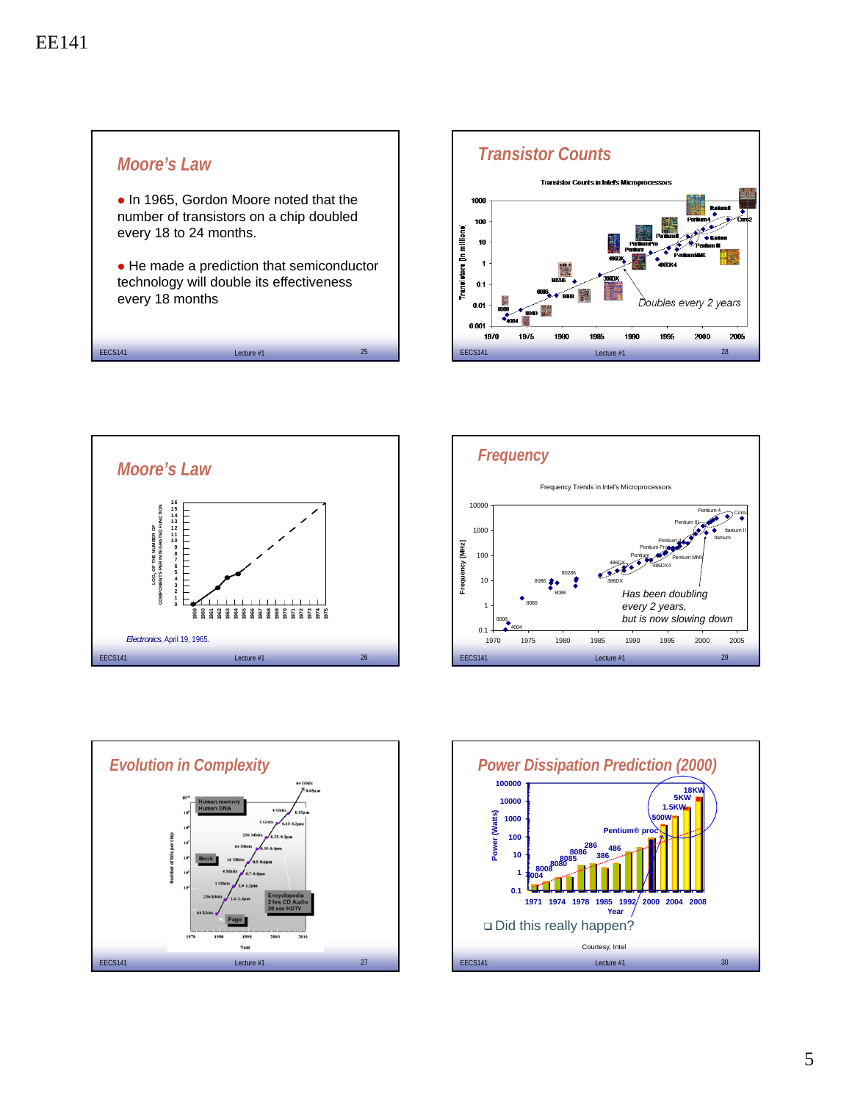









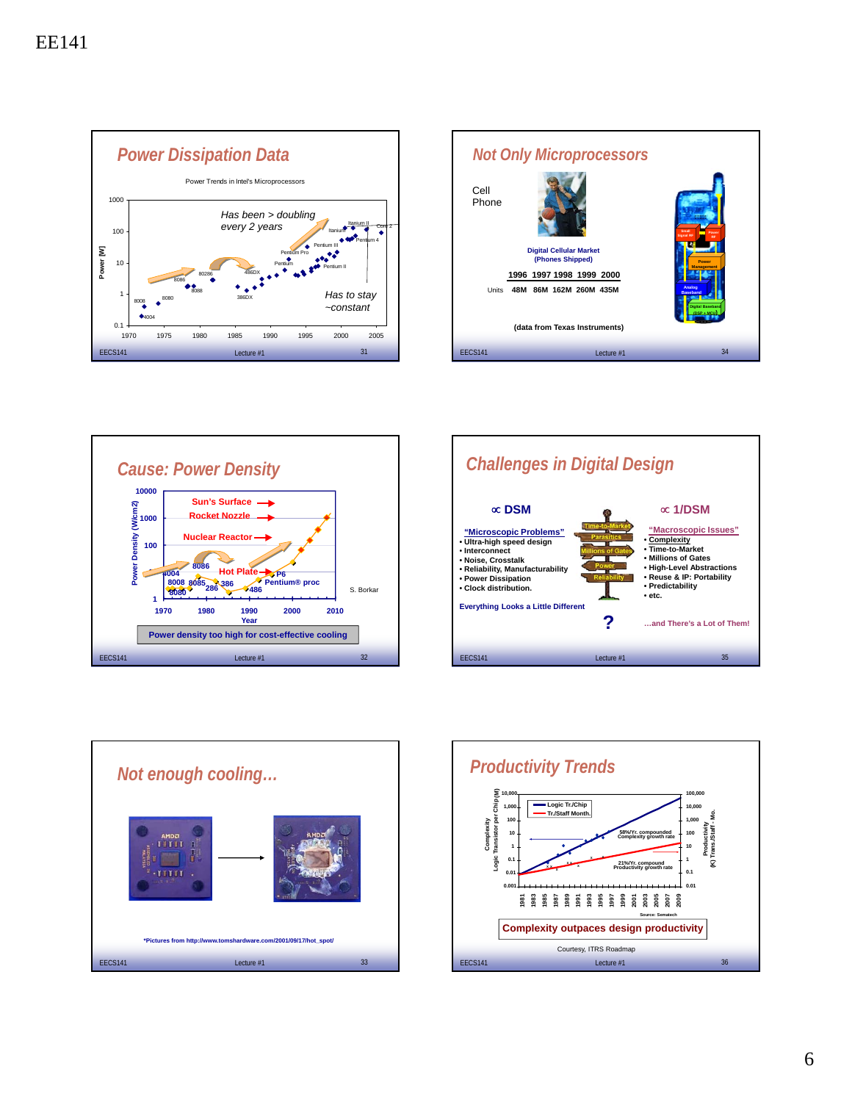